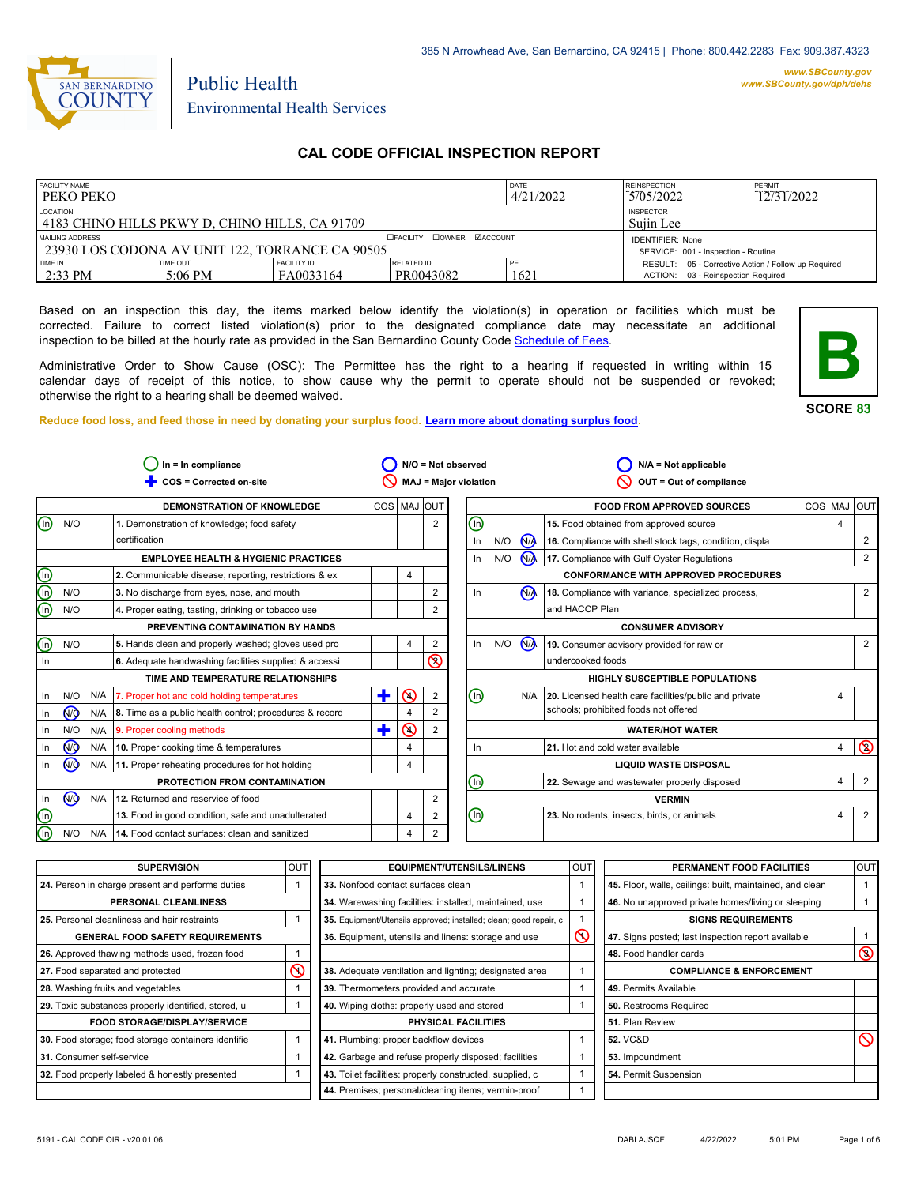

#### *www.SBCounty.gov [www.SBCounty.gov/dph/dehs](http://www.sbcounty.gov/dph/ehsportal)*

Public Health Environmental Health Services

## **CAL CODE OFFICIAL INSPECTION REPORT**

| <b>FACILITY NAME</b><br><b>PEKOPEKO</b>                                                                  |                       | <b>DATE</b><br>4/21/2022        | <b>REINSPECTION</b><br>5/05/2022 | PERMIT<br>12/31/2022 |                                                                                           |  |
|----------------------------------------------------------------------------------------------------------|-----------------------|---------------------------------|----------------------------------|----------------------|-------------------------------------------------------------------------------------------|--|
| LOCATION<br>4183 CHINO HILLS PKWY D. CHINO HILLS, CA 91709                                               |                       | <b>INSPECTOR</b><br>Suiin Lee   |                                  |                      |                                                                                           |  |
| <b>DEACILITY DOWNER MACCOUNT</b><br>MAILING ADDRESS<br>1 23930 LOS CODONA AV UNIT 122. TORRANCE CA 90505 |                       |                                 |                                  |                      | <b>IDENTIFIER: None</b><br>SERVICE: 001 - Inspection - Routine                            |  |
| TIME IN<br>$2:33 \text{ PM}$                                                                             | TIME OUT<br>$5:06$ PM | <b>FACILITY ID</b><br>FA0033164 | RELATED ID<br>PR0043082          | 1621                 | RESULT: 05 - Corrective Action / Follow up Required<br>ACTION: 03 - Reinspection Required |  |

Based on an inspection this day, the items marked below identify the violation(s) in operation or facilities which must be corrected. Failure to correct listed violation(s) prior to the designated compliance date may necessitate an additional inspection to be billed at the hourly rate as provided in the San Bernardino County Co[de Schedule of Fees.](https://codelibrary.amlegal.com/codes/sanbernardino/latest/sanberncty_ca/0-0-0-122474#JD_16.0213B)

Administrative Order to Show Cause (OSC): The Permittee has the right to a hearing if requested in writing within 15 calendar days of receipt of this notice, to show cause why the permit to operate should not be suspended or revoked; otherwise the right to a hearing shall be deemed waived.

**SCORE 83**

**B**

**Reduce food loss, and feed those in need by donating your surplus f[ood. Learn more about donating surplus food.](https://wp.sbcounty.gov/dph/programs/ehs/charitable-food-service/)**

|                                           |                |     | $In = In$ compliance                                    |   |                | N/O = Not observed           |         |     |                | $N/A = Not applicable$                                  |             |                |
|-------------------------------------------|----------------|-----|---------------------------------------------------------|---|----------------|------------------------------|---------|-----|----------------|---------------------------------------------------------|-------------|----------------|
|                                           |                |     | COS = Corrected on-site                                 |   |                | <b>MAJ = Major violation</b> |         |     |                | OUT = Out of compliance                                 |             |                |
|                                           |                |     | <b>DEMONSTRATION OF KNOWLEDGE</b>                       |   | COS   MAJ OUT  |                              |         |     |                | <b>FOOD FROM APPROVED SOURCES</b>                       | COS MAJ OUT |                |
| ⊚                                         | N/O            |     | 1. Demonstration of knowledge; food safety              |   |                | $\overline{\mathbf{c}}$      | (n)     |     |                | 15. Food obtained from approved source                  | 4           |                |
|                                           |                |     | certification                                           |   |                |                              | In      | N/O | N <sub>/</sub> | 16. Compliance with shell stock tags, condition, displa |             | 2              |
|                                           |                |     | <b>EMPLOYEE HEALTH &amp; HYGIENIC PRACTICES</b>         |   |                |                              | In.     | N/O | N              | 17. Compliance with Gulf Oyster Regulations             |             | $\overline{2}$ |
| $\overline{\circ}$                        |                |     | 2. Communicable disease; reporting, restrictions & ex   |   | $\overline{4}$ |                              |         |     |                | <b>CONFORMANCE WITH APPROVED PROCEDURES</b>             |             |                |
| $\overline{\textcircled{\scriptsize{0}}}$ | N/O            |     | 3. No discharge from eyes, nose, and mouth              |   |                | $\overline{2}$               | In      |     | N <sub>A</sub> | 18. Compliance with variance, specialized process,      |             | $\overline{2}$ |
| កិ                                        | N/O            |     | 4. Proper eating, tasting, drinking or tobacco use      |   |                | 2                            |         |     |                | and HACCP Plan                                          |             |                |
|                                           |                |     | PREVENTING CONTAMINATION BY HANDS                       |   |                |                              |         |     |                | <b>CONSUMER ADVISORY</b>                                |             |                |
| ⋒                                         | N/O            |     | 5. Hands clean and properly washed; gloves used pro     |   | $\overline{4}$ | $\overline{2}$               | ln      | N/O | M              | 19. Consumer advisory provided for raw or               |             | $\overline{2}$ |
| In.                                       |                |     | 6. Adequate handwashing facilities supplied & accessi   |   |                | $\circledcirc$               |         |     |                | undercooked foods                                       |             |                |
|                                           |                |     | TIME AND TEMPERATURE RELATIONSHIPS                      |   |                |                              |         |     |                | HIGHLY SUSCEPTIBLE POPULATIONS                          |             |                |
| In                                        | N/O            | N/A | 7. Proper hot and cold holding temperatures             | ٠ | $\Omega$       | $\overline{2}$               | ⑯       |     | N/A            | 20. Licensed health care facilities/public and private  |             |                |
| In                                        | N <sub>O</sub> | N/A | 8. Time as a public health control; procedures & record |   | 4              | $\overline{2}$               |         |     |                | schools; prohibited foods not offered                   |             |                |
| In                                        | N/O            | N/A | 9. Proper cooling methods                               | ٠ | $\odot$        | $\overline{2}$               |         |     |                | <b>WATER/HOT WATER</b>                                  |             |                |
| In                                        | N <sub>O</sub> | N/A | 10. Proper cooking time & temperatures                  |   | 4              |                              | In.     |     |                | 21. Hot and cold water available                        | 4           | $\circledcirc$ |
| In                                        | N <sub>O</sub> | N/A | 11. Proper reheating procedures for hot holding         |   | 4              |                              |         |     |                | <b>LIQUID WASTE DISPOSAL</b>                            |             |                |
|                                           |                |     | PROTECTION FROM CONTAMINATION                           |   |                |                              | (n)     |     |                | 22. Sewage and wastewater properly disposed             | 4           | $\overline{2}$ |
| In                                        | $\sqrt{9}$     | N/A | 12. Returned and reservice of food                      |   |                | 2                            |         |     |                | <b>VERMIN</b>                                           |             |                |
| $\textcircled{\scriptsize{1}}$            |                |     | 13. Food in good condition, safe and unadulterated      |   | 4              | $\overline{2}$               | $\odot$ |     |                | 23. No rodents, insects, birds, or animals              | 4           | $\overline{2}$ |
| 网                                         | N/O            | N/A | 14. Food contact surfaces: clean and sanitized          |   | 4              | $\overline{2}$               |         |     |                |                                                         |             |                |

| <b>SUPERVISION</b>                                  | <b>OUT</b> | <b>EQUIPMENT/UTENSILS/LINENS</b>                                  | OUT           | PERMANENT FOOD FACILITIES                                | lout           |
|-----------------------------------------------------|------------|-------------------------------------------------------------------|---------------|----------------------------------------------------------|----------------|
| 24. Person in charge present and performs duties    |            | 33. Nonfood contact surfaces clean                                |               | 45. Floor, walls, ceilings: built, maintained, and clean |                |
| PERSONAL CLEANLINESS                                |            | 34. Warewashing facilities: installed, maintained, use            |               | 46. No unapproved private homes/living or sleeping       |                |
| 25. Personal cleanliness and hair restraints        |            | 35. Equipment/Utensils approved; installed; clean; good repair, c |               | <b>SIGNS REQUIREMENTS</b>                                |                |
| <b>GENERAL FOOD SAFETY REQUIREMENTS</b>             |            | 36. Equipment, utensils and linens: storage and use               | $\mathcal{S}$ | 47. Signs posted; last inspection report available       |                |
| 26. Approved thawing methods used, frozen food      |            |                                                                   |               | 48. Food handler cards                                   | $\circledcirc$ |
| 27. Food separated and protected                    |            | 38. Adequate ventilation and lighting; designated area            |               | <b>COMPLIANCE &amp; ENFORCEMENT</b>                      |                |
| 28. Washing fruits and vegetables                   |            | 39. Thermometers provided and accurate                            |               | 49. Permits Available                                    |                |
| 29. Toxic substances properly identified, stored, u |            | 40. Wiping cloths: properly used and stored                       |               | <b>50.</b> Restrooms Required                            |                |
| <b>FOOD STORAGE/DISPLAY/SERVICE</b>                 |            | PHYSICAL FACILITIES                                               |               | 51. Plan Review                                          |                |
| 30. Food storage; food storage containers identifie |            | 41. Plumbing: proper backflow devices                             |               | <b>52. VC&amp;D</b>                                      | $\infty$       |
| 31. Consumer self-service                           |            | 42. Garbage and refuse properly disposed; facilities              |               | 53. Impoundment                                          |                |
| 32. Food properly labeled & honestly presented      |            | 43. Toilet facilities: properly constructed, supplied, c          |               | 54. Permit Suspension                                    |                |
|                                                     |            | 44. Premises; personal/cleaning items; vermin-proof               |               |                                                          |                |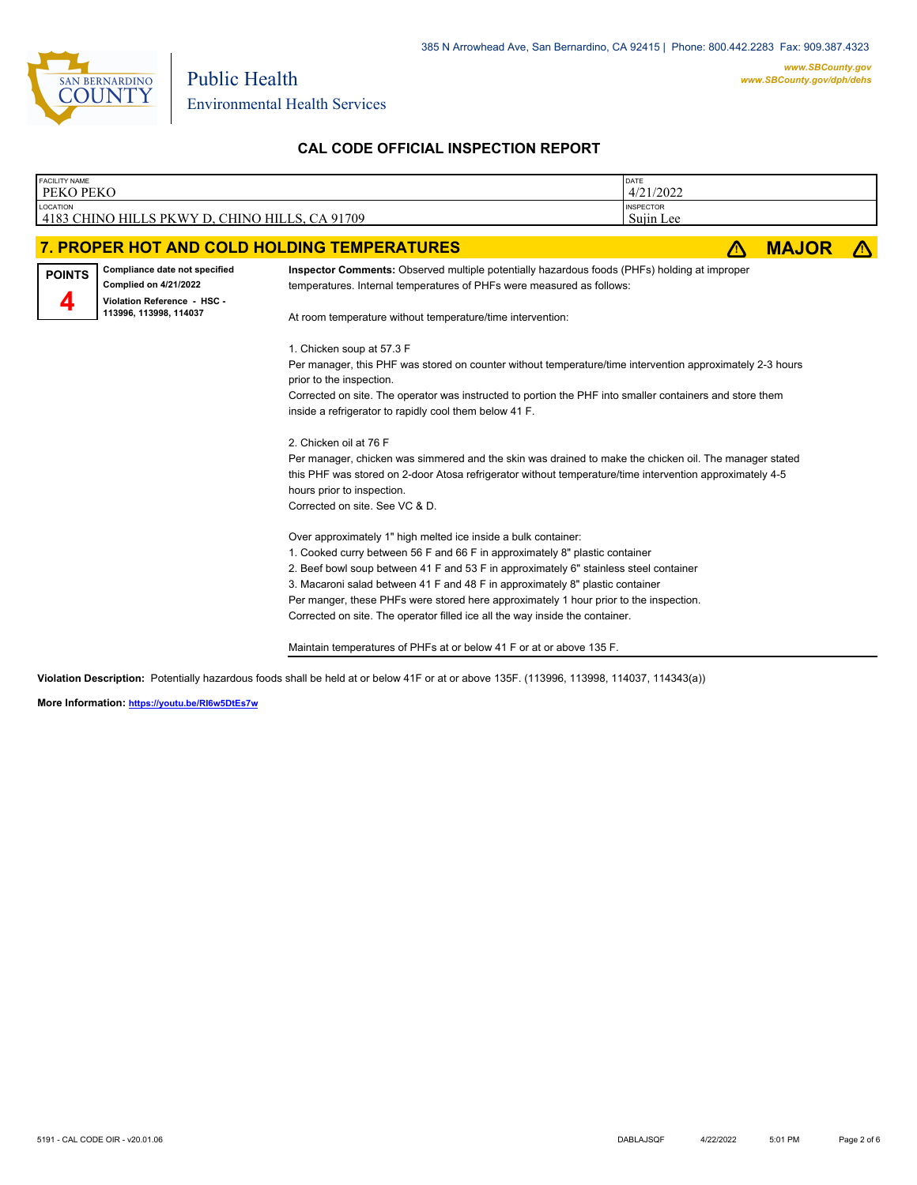

Public Health

## **CAL CODE OFFICIAL INSPECTION REPORT**

| <b>FACILITY NAME</b><br>PEKO PEKO |                                                                                                                        |                                                                                                                                                                                                                                                                                                                                                                                                                                                                                                  | DATE<br>4/21/2022             |    |              |  |
|-----------------------------------|------------------------------------------------------------------------------------------------------------------------|--------------------------------------------------------------------------------------------------------------------------------------------------------------------------------------------------------------------------------------------------------------------------------------------------------------------------------------------------------------------------------------------------------------------------------------------------------------------------------------------------|-------------------------------|----|--------------|--|
| <b>LOCATION</b>                   | 4183 CHINO HILLS PKWY D, CHINO HILLS, CA 91709                                                                         |                                                                                                                                                                                                                                                                                                                                                                                                                                                                                                  | <b>INSPECTOR</b><br>Sujin Lee |    |              |  |
|                                   |                                                                                                                        | 7. PROPER HOT AND COLD HOLDING TEMPERATURES                                                                                                                                                                                                                                                                                                                                                                                                                                                      |                               | ЛΝ | <b>MAJOR</b> |  |
| <b>POINTS</b>                     | Compliance date not specified<br><b>Complied on 4/21/2022</b><br>Violation Reference - HSC -<br>113996, 113998, 114037 | Inspector Comments: Observed multiple potentially hazardous foods (PHFs) holding at improper<br>temperatures. Internal temperatures of PHFs were measured as follows:<br>At room temperature without temperature/time intervention:                                                                                                                                                                                                                                                              |                               |    |              |  |
|                                   |                                                                                                                        | 1. Chicken soup at 57.3 F<br>Per manager, this PHF was stored on counter without temperature/time intervention approximately 2-3 hours<br>prior to the inspection.<br>Corrected on site. The operator was instructed to portion the PHF into smaller containers and store them<br>inside a refrigerator to rapidly cool them below 41 F.                                                                                                                                                         |                               |    |              |  |
|                                   |                                                                                                                        | 2. Chicken oil at 76 F<br>Per manager, chicken was simmered and the skin was drained to make the chicken oil. The manager stated<br>this PHF was stored on 2-door Atosa refrigerator without temperature/time intervention approximately 4-5<br>hours prior to inspection.<br>Corrected on site. See VC & D.                                                                                                                                                                                     |                               |    |              |  |
|                                   |                                                                                                                        | Over approximately 1" high melted ice inside a bulk container:<br>1. Cooked curry between 56 F and 66 F in approximately 8" plastic container<br>2. Beef bowl soup between 41 F and 53 F in approximately 6" stainless steel container<br>3. Macaroni salad between 41 F and 48 F in approximately 8" plastic container<br>Per manger, these PHFs were stored here approximately 1 hour prior to the inspection.<br>Corrected on site. The operator filled ice all the way inside the container. |                               |    |              |  |
|                                   |                                                                                                                        | Maintain temperatures of PHFs at or below 41 F or at or above 135 F.                                                                                                                                                                                                                                                                                                                                                                                                                             |                               |    |              |  |

**Violation Description:** Potentially hazardous foods shall be held at or below 41F or at or above 135F. (113996, 113998, 114037, 114343(a))

**More Information: <https://youtu.be/RI6w5DtEs7w>**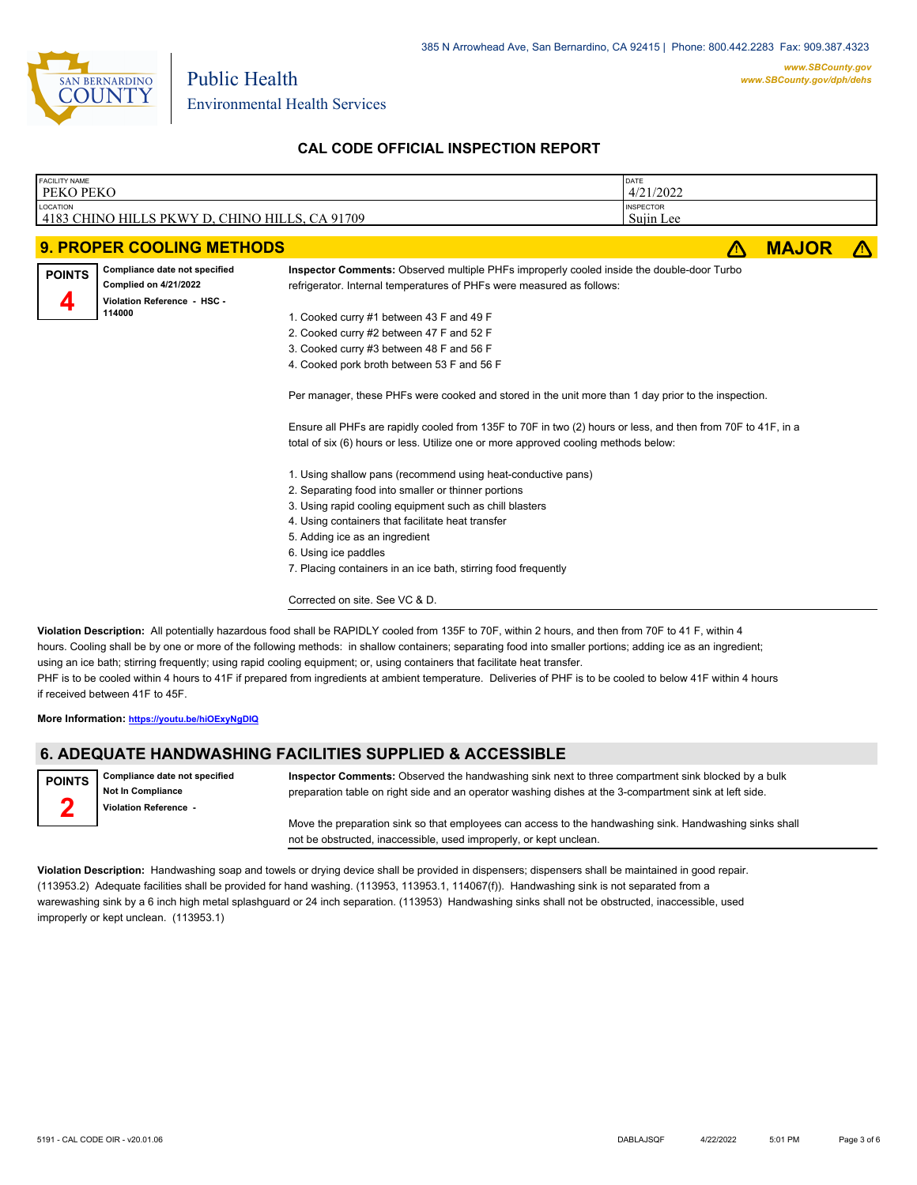

Public Health

### **CAL CODE OFFICIAL INSPECTION REPORT**

| <b>FACILITY NAME</b><br>PEKO PEKO |                                                                                                        |                                                                                                                                                                                                                                                                                                                                                                                                                                                                                                                                                                                                                                                                                                                                                                                                                                                                                                                                                                     | DATE<br>4/21/2022             |              |  |
|-----------------------------------|--------------------------------------------------------------------------------------------------------|---------------------------------------------------------------------------------------------------------------------------------------------------------------------------------------------------------------------------------------------------------------------------------------------------------------------------------------------------------------------------------------------------------------------------------------------------------------------------------------------------------------------------------------------------------------------------------------------------------------------------------------------------------------------------------------------------------------------------------------------------------------------------------------------------------------------------------------------------------------------------------------------------------------------------------------------------------------------|-------------------------------|--------------|--|
| LOCATION                          | 4183 CHINO HILLS PKWY D, CHINO HILLS, CA 91709                                                         |                                                                                                                                                                                                                                                                                                                                                                                                                                                                                                                                                                                                                                                                                                                                                                                                                                                                                                                                                                     | <b>INSPECTOR</b><br>Sujin Lee |              |  |
|                                   |                                                                                                        |                                                                                                                                                                                                                                                                                                                                                                                                                                                                                                                                                                                                                                                                                                                                                                                                                                                                                                                                                                     |                               |              |  |
|                                   | <b>9. PROPER COOLING METHODS</b>                                                                       |                                                                                                                                                                                                                                                                                                                                                                                                                                                                                                                                                                                                                                                                                                                                                                                                                                                                                                                                                                     | /\                            | <b>MAJOR</b> |  |
| <b>POINTS</b>                     | Compliance date not specified<br><b>Complied on 4/21/2022</b><br>Violation Reference - HSC -<br>114000 | Inspector Comments: Observed multiple PHFs improperly cooled inside the double-door Turbo<br>refrigerator. Internal temperatures of PHFs were measured as follows:<br>1. Cooked curry #1 between 43 F and 49 F<br>2. Cooked curry #2 between 47 F and 52 F<br>3. Cooked curry #3 between 48 F and 56 F<br>4. Cooked pork broth between 53 F and 56 F<br>Per manager, these PHFs were cooked and stored in the unit more than 1 day prior to the inspection.<br>Ensure all PHFs are rapidly cooled from 135F to 70F in two (2) hours or less, and then from 70F to 41F, in a<br>total of six (6) hours or less. Utilize one or more approved cooling methods below:<br>1. Using shallow pans (recommend using heat-conductive pans)<br>2. Separating food into smaller or thinner portions<br>3. Using rapid cooling equipment such as chill blasters<br>4. Using containers that facilitate heat transfer<br>5. Adding ice as an ingredient<br>6. Using ice paddles |                               |              |  |
|                                   |                                                                                                        | 7. Placing containers in an ice bath, stirring food frequently                                                                                                                                                                                                                                                                                                                                                                                                                                                                                                                                                                                                                                                                                                                                                                                                                                                                                                      |                               |              |  |
|                                   |                                                                                                        | Corrected on site. See VC & D.                                                                                                                                                                                                                                                                                                                                                                                                                                                                                                                                                                                                                                                                                                                                                                                                                                                                                                                                      |                               |              |  |

**Violation Description:** All potentially hazardous food shall be RAPIDLY cooled from 135F to 70F, within 2 hours, and then from 70F to 41 F, within 4 hours. Cooling shall be by one or more of the following methods: in shallow containers; separating food into smaller portions; adding ice as an ingredient; using an ice bath; stirring frequently; using rapid cooling equipment; or, using containers that facilitate heat transfer. PHF is to be cooled within 4 hours to 41F if prepared from ingredients at ambient temperature. Deliveries of PHF is to be cooled to below 41F within 4 hours if received between 41F to 45F.

**More Information: <https://youtu.be/hiOExyNgDIQ>**

### **6. ADEQUATE HANDWASHING FACILITIES SUPPLIED & ACCESSIBLE**

**Compliance date not specified Not In Compliance Violation Reference - POINTS 2**

**Inspector Comments:** Observed the handwashing sink next to three compartment sink blocked by a bulk preparation table on right side and an operator washing dishes at the 3-compartment sink at left side.

Move the preparation sink so that employees can access to the handwashing sink. Handwashing sinks shall not be obstructed, inaccessible, used improperly, or kept unclean.

**Violation Description:** Handwashing soap and towels or drying device shall be provided in dispensers; dispensers shall be maintained in good repair. (113953.2) Adequate facilities shall be provided for hand washing. (113953, 113953.1, 114067(f)). Handwashing sink is not separated from a warewashing sink by a 6 inch high metal splashguard or 24 inch separation. (113953) Handwashing sinks shall not be obstructed, inaccessible, used improperly or kept unclean. (113953.1)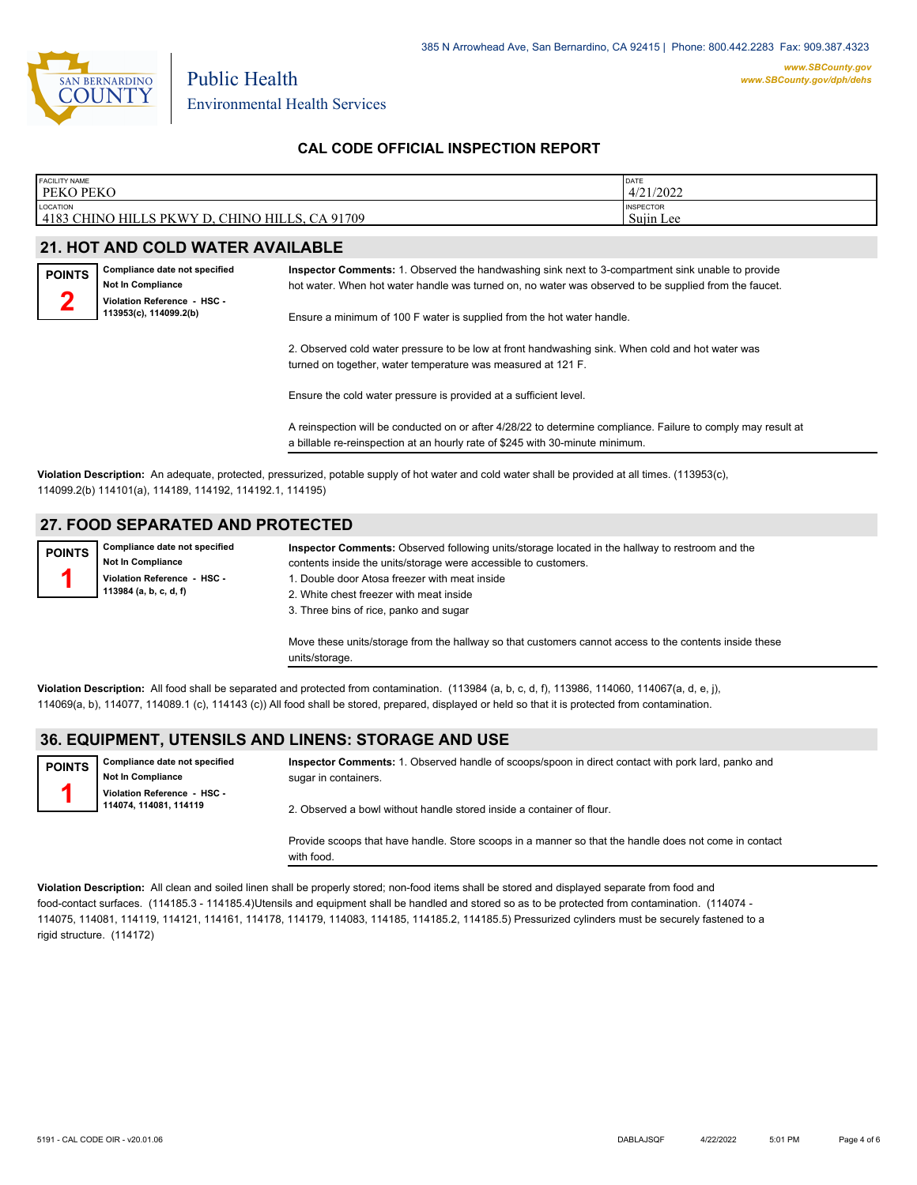

Public Health

### **CAL CODE OFFICIAL INSPECTION REPORT**

| <b>FACILITY NAME</b>                                                                    | <b>DATE</b>                   |
|-----------------------------------------------------------------------------------------|-------------------------------|
| <b>PEKO PEKO</b>                                                                        | 4/21/2022                     |
| LOCATION<br>4183<br>91709<br>$\bigcap$<br>ì CHINO HILLS<br>PKWY D<br><b>CHINO HILLS</b> | <b>INSPECTOR</b><br>Sujin Lee |

### **21. HOT AND COLD WATER AVAILABLE**

| <b>POINTS</b> | Compliance date not specified                         |
|---------------|-------------------------------------------------------|
|               | Not In Compliance                                     |
|               | Violation Reference - HSC -<br>113953(c), 114099.2(b) |
|               |                                                       |

**Inspector Comments:** 1. Observed the handwashing sink next to 3-compartment sink unable to provide hot water. When hot water handle was turned on, no water was observed to be supplied from the faucet.

Ensure a minimum of 100 F water is supplied from the hot water handle.

2. Observed cold water pressure to be low at front handwashing sink. When cold and hot water was turned on together, water temperature was measured at 121 F.

Ensure the cold water pressure is provided at a sufficient level.

A reinspection will be conducted on or after 4/28/22 to determine compliance. Failure to comply may result at a billable re-reinspection at an hourly rate of \$245 with 30-minute minimum.

**Violation Description:** An adequate, protected, pressurized, potable supply of hot water and cold water shall be provided at all times. (113953(c), 114099.2(b) 114101(a), 114189, 114192, 114192.1, 114195)

### **27. FOOD SEPARATED AND PROTECTED**

**Compliance date not specified Not In Compliance Violation Reference - HSC - 113984 (a, b, c, d, f) POINTS 1**

**Inspector Comments:** Observed following units/storage located in the hallway to restroom and the contents inside the units/storage were accessible to customers. 1. Double door Atosa freezer with meat inside 2. White chest freezer with meat inside 3. Three bins of rice, panko and sugar Move these units/storage from the hallway so that customers cannot access to the contents inside these

units/storage.

**Violation Description:** All food shall be separated and protected from contamination. (113984 (a, b, c, d, f), 113986, 114060, 114067(a, d, e, j), 114069(a, b), 114077, 114089.1 (c), 114143 (c)) All food shall be stored, prepared, displayed or held so that it is protected from contamination.

### **36. EQUIPMENT, UTENSILS AND LINENS: STORAGE AND USE**

**Compliance date not specified Not In Compliance Violation Reference - HSC - 114074, 114081, 114119 POINTS 1 Inspector Comments:** 1. Observed handle of scoops/spoon in direct contact with pork lard, panko and sugar in containers. 2. Observed a bowl without handle stored inside a container of flour.

> Provide scoops that have handle. Store scoops in a manner so that the handle does not come in contact with food.

**Violation Description:** All clean and soiled linen shall be properly stored; non-food items shall be stored and displayed separate from food and food-contact surfaces. (114185.3 - 114185.4)Utensils and equipment shall be handled and stored so as to be protected from contamination. (114074 - 114075, 114081, 114119, 114121, 114161, 114178, 114179, 114083, 114185, 114185.2, 114185.5) Pressurized cylinders must be securely fastened to a rigid structure. (114172)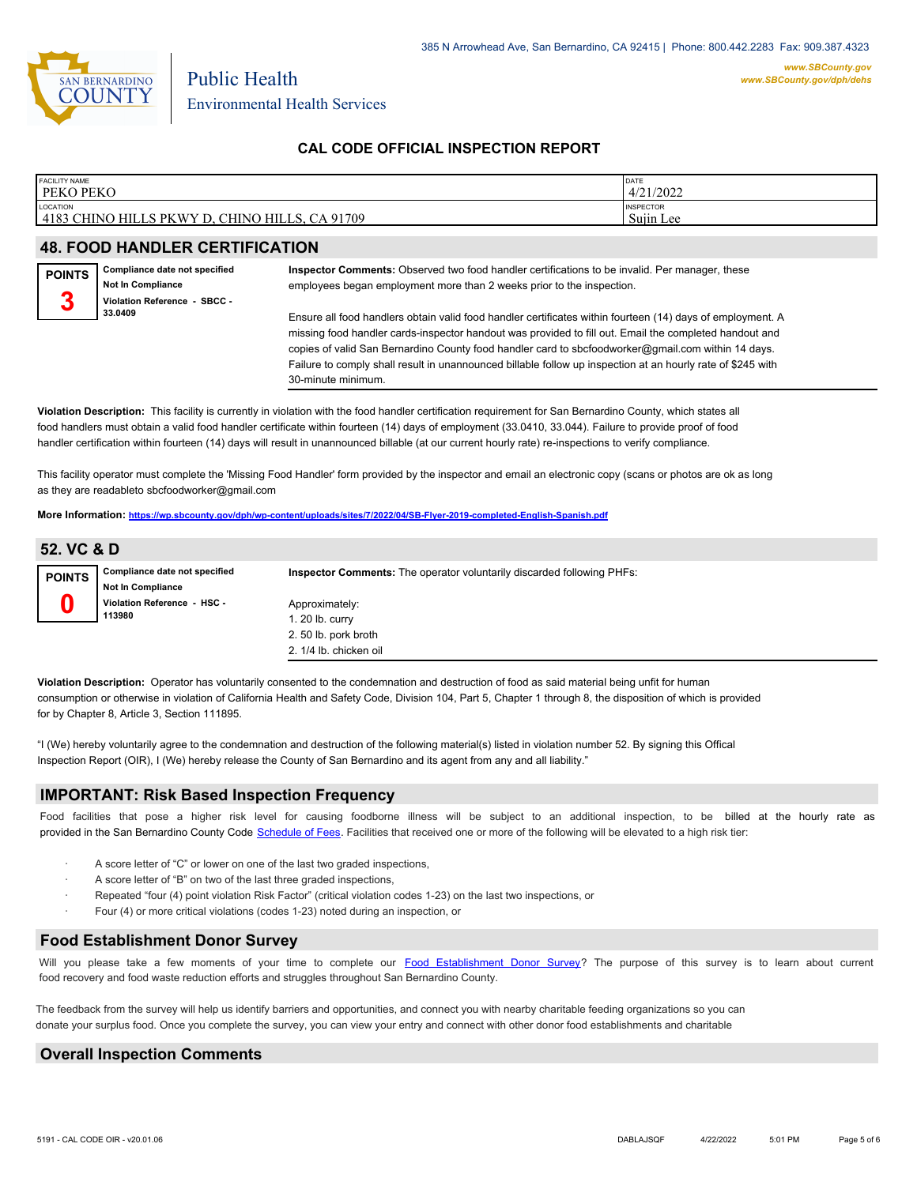

Public Health

### **CAL CODE OFFICIAL INSPECTION REPORT**

| <b>FACILITY NAME</b>                                            | DATE                          |
|-----------------------------------------------------------------|-------------------------------|
| PEKO PEKO                                                       | 4/21/2022                     |
| LOCATION<br>4183 CHINO HILLS PKWY D.<br>, CHINO HILLS, CA 91709 | <b>INSPECTOR</b><br>Sujin Lee |

### **48. FOOD HANDLER CERTIFICATION**

| <b>POINTS</b> | Compliance date not specified<br><b>Not In Compliance</b> | Inspector Comments: Observed two food handler certifications to be invalid. Per manager, these<br>employees began employment more than 2 weeks prior to the inspection.                                           |
|---------------|-----------------------------------------------------------|-------------------------------------------------------------------------------------------------------------------------------------------------------------------------------------------------------------------|
| 2             | Violation Reference - SBCC -<br>33.0409                   | Ensure all food handlers obtain valid food handler certificates within fourteen (14) days of employment. A                                                                                                        |
|               |                                                           | missing food handler cards-inspector handout was provided to fill out. Email the completed handout and                                                                                                            |
|               |                                                           | copies of valid San Bernardino County food handler card to sbcfoodworker@gmail.com within 14 days.<br>Failure to comply shall result in unannounced billable follow up inspection at an hourly rate of \$245 with |

**Violation Description:** This facility is currently in violation with the food handler certification requirement for San Bernardino County, which states all food handlers must obtain a valid food handler certificate within fourteen (14) days of employment (33.0410, 33.044). Failure to provide proof of food handler certification within fourteen (14) days will result in unannounced billable (at our current hourly rate) re-inspections to verify compliance.

This facility operator must complete the 'Missing Food Handler' form provided by the inspector and email an electronic copy (scans or photos are ok as long as they are readableto sbcfoodworker@gmail.com

**More Information: <https://wp.sbcounty.gov/dph/wp-content/uploads/sites/7/2022/04/SB-Flyer-2019-completed-English-Spanish.pdf>**

30-minute minimum.

### **52. VC & D**

| <b>POINTS</b> | Compliance date not specified<br><b>Not In Compliance</b> | <b>Inspector Comments:</b> The operator voluntarily discarded following PHFs: |
|---------------|-----------------------------------------------------------|-------------------------------------------------------------------------------|
|               | Violation Reference - HSC -<br>113980                     | Approximately:<br>1. 20 lb. curry                                             |
|               |                                                           | 2.50 lb. pork broth                                                           |
|               |                                                           | 2. 1/4 lb. chicken oil                                                        |

**Violation Description:** Operator has voluntarily consented to the condemnation and destruction of food as said material being unfit for human consumption or otherwise in violation of California Health and Safety Code, Division 104, Part 5, Chapter 1 through 8, the disposition of which is provided for by Chapter 8, Article 3, Section 111895.

"I (We) hereby voluntarily agree to the condemnation and destruction of the following material(s) listed in violation number 52. By signing this Offical Inspection Report (OIR), I (We) hereby release the County of San Bernardino and its agent from any and all liability."

### **IMPORTANT: Risk Based Inspection Frequency**

Food facilities that pose a higher risk level for causing foodborne illness will be subject to an additional inspection, to be billed at the hourly rate as provided in the San Bernardi[no County Code Schedule of Fees](https://codelibrary.amlegal.com/codes/sanbernardino/latest/sanberncty_ca/0-0-0-122474#JD_16.0213B). Facilities that received one or more of the following will be elevated to a high risk tier:

- A score letter of "C" or lower on one of the last two graded inspections,
- A score letter of "B" on two of the last three graded inspections,
- Repeated "four (4) point violation Risk Factor" (critical violation codes 1-23) on the last two inspections, or
- Four (4) or more critical violations (codes 1-23) noted during an inspection, or

#### **Food Establishment Donor Survey**

Will you please take a few moments of your time to co[mplete our Food Establishment Donor Survey?](https://survey123.arcgis.com/share/626bb0fb21674c82832b0c0d557c5e80?field:faid=FA0033164&field:facility_name=PEKO%20PEKO¢er=,&field:phone=9096066640) The purpose of this survey is to learn about current food recovery and food waste reduction efforts and struggles throughout San Bernardino County.

The feedback from the survey will help us identify barriers and opportunities, and connect you with nearby charitable feeding organizations so you can donate your surplus fo[od. Once you complete the su](https://arcg.is/WvjGb)rvey, you can view your entry and connect with other donor food establishments and charitable

### **Overall Inspection Comments**